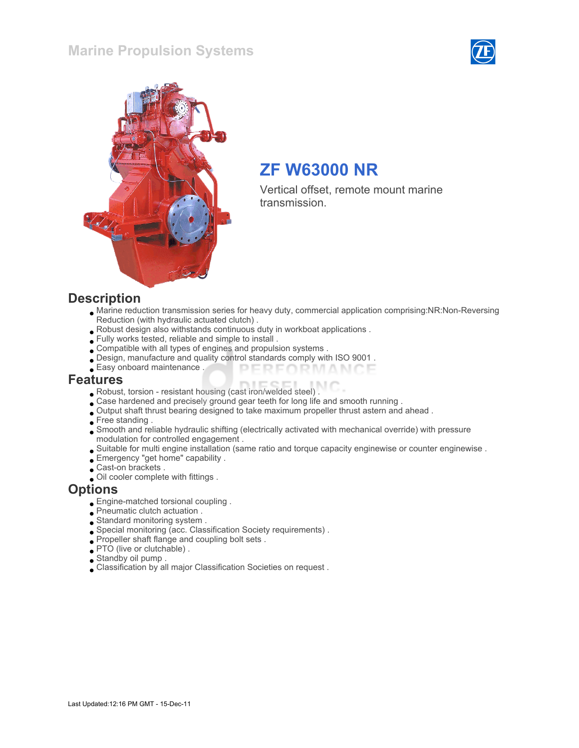#### Marine Propulsion Systems





# ZF W63000 NR

Vertical offset, remote mount marine transmission.

#### **Description**

- Marine reduction transmission series for heavy duty, commercial application comprising:NR:Non-Reversing Reduction (with hydraulic actuated clutch) .
- Robust design also withstands continuous duty in workboat applications .
- Fully works tested, reliable and simple to install .
- Compatible with all types of engines and propulsion systems .
- Design, manufacture and quality control standards comply with ISO 9001 .
- Easy onboard maintenance . PERFORMANCE

#### Features

- Robust, torsion resistant housing (cast iron/welded steel) .
- Case hardened and precisely ground gear teeth for long life and smooth running .
- Output shaft thrust bearing designed to take maximum propeller thrust astern and ahead .
- Free standing.
- Smooth and reliable hydraulic shifting (electrically activated with mechanical override) with pressure modulation for controlled engagement .
- Suitable for multi engine installation (same ratio and torque capacity enginewise or counter enginewise .
- Emergency "get home" capability .
- Cast-on brackets .
- Oil cooler complete with fittings .

#### **Options**

- Engine-matched torsional coupling .
- Pneumatic clutch actuation .
- Standard monitoring system .
- Special monitoring (acc. Classification Society requirements) .
- Propeller shaft flange and coupling bolt sets .
- PTO (live or clutchable).
- Standby oil pump .
- Classification by all major Classification Societies on request .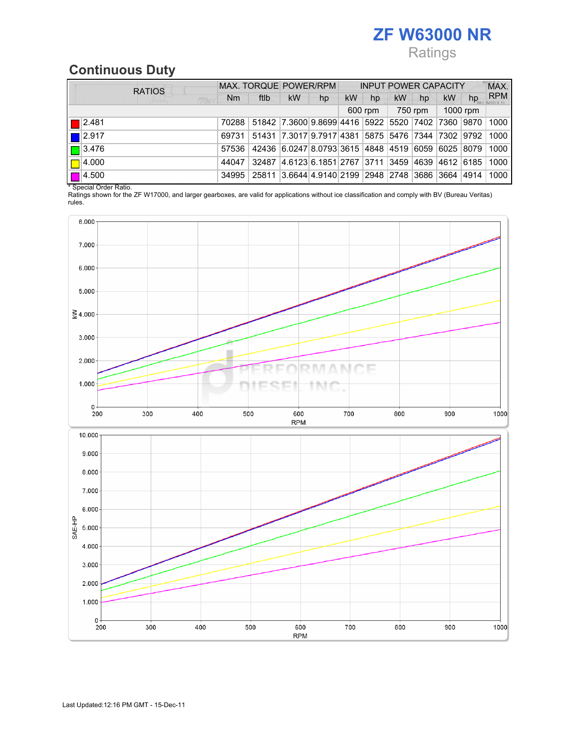# ZF W63000 NR Ratings

## Continuous Duty

| <b>RATIOS</b>         | MAX. TORQUE POWER/RPM |                                                         |                                                        |    | <b>INPUT POWER CAPACITY</b> |         |           |    |           | MAX. |            |
|-----------------------|-----------------------|---------------------------------------------------------|--------------------------------------------------------|----|-----------------------------|---------|-----------|----|-----------|------|------------|
| <b>Ball</b>           | Nm                    | ftlb                                                    | <b>kW</b>                                              | hp | <b>kW</b>                   | hp      | <b>kW</b> | hp | <b>kW</b> | hp   | <b>RPM</b> |
|                       |                       |                                                         |                                                        |    |                             | 600 rpm | 750 rpm   |    | 1000 rpm  |      |            |
| $\blacksquare$  2.481 | 70288                 |                                                         | 51842 7.3600 9.8699 4416 5922 5520 7402 7360 9870      |    |                             |         |           |    |           |      | 1000       |
| $\blacksquare$ 2.917  | 69731                 |                                                         | 51431 7.3017 9.7917 4381 5875 5476 7344 7302 9792 1000 |    |                             |         |           |    |           |      |            |
| $\boxed{\Box}$ 3.476  | 57536                 |                                                         | 42436 6.0247 8.0793 3615 4848 4519 6059 6025 8079      |    |                             |         |           |    |           |      | 1000       |
| $\Box$ 4.000          | 44047                 | 32487                                                   | 4.6123 6.1851 2767 3711 3459 4639 4612 6185            |    |                             |         |           |    |           |      | 1000       |
| $\Box$ 4.500          |                       | 34995 25811 3.6644 4.9140 2199 2948 2748 3686 3664 4914 |                                                        |    |                             |         |           |    |           |      | 1000       |

\* Special Order Ratio.

Ratings shown for the ZF W17000, and larger gearboxes, are valid for applications without ice classification and comply with BV (Bureau Veritas) rules.

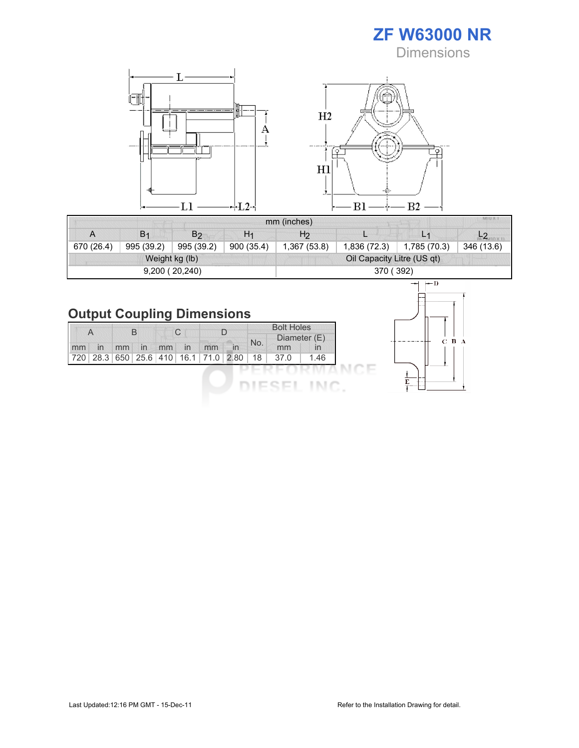ZF W63000 NR **Dimensions** 



|            |                                        |                |                | mm (inches)                | MIU X 1 |                |  |  |  |  |
|------------|----------------------------------------|----------------|----------------|----------------------------|---------|----------------|--|--|--|--|
| A          | B <sub>1</sub>                         | B <sub>2</sub> | H <sub>1</sub> | H <sub>2</sub>             |         | L <sub>1</sub> |  |  |  |  |
| 670 (26.4) | 995 (39.2)<br>900 (35.4)<br>995 (39.2) |                | 1,367 (53.8)   | 1,836 (72.3)               |         | 346 (13.6)     |  |  |  |  |
|            |                                        | Weight kg (lb) |                | Oil Capacity Litre (US qt) |         |                |  |  |  |  |
|            |                                        | 9,200(20,240)  |                | 370 (392)                  |         |                |  |  |  |  |

# Output Coupling Dimensions

| A  |    | В  |    | C  |    |                                                    |              |     | <b>Bolt Holes</b><br>Diameter (E) |              |
|----|----|----|----|----|----|----------------------------------------------------|--------------|-----|-----------------------------------|--------------|
| mm | In | mm | In | mm | In | mm                                                 | $\mathsf{I}$ | No. | mm                                | $\mathsf{I}$ |
|    |    |    |    |    |    | 720   28.3   650   25.6   410   16.1   71.0   2.80 |              | 18  | 37.0                              | 1.46         |
|    |    |    |    |    |    |                                                    |              |     |                                   |              |
|    |    |    |    |    |    |                                                    |              |     |                                   |              |

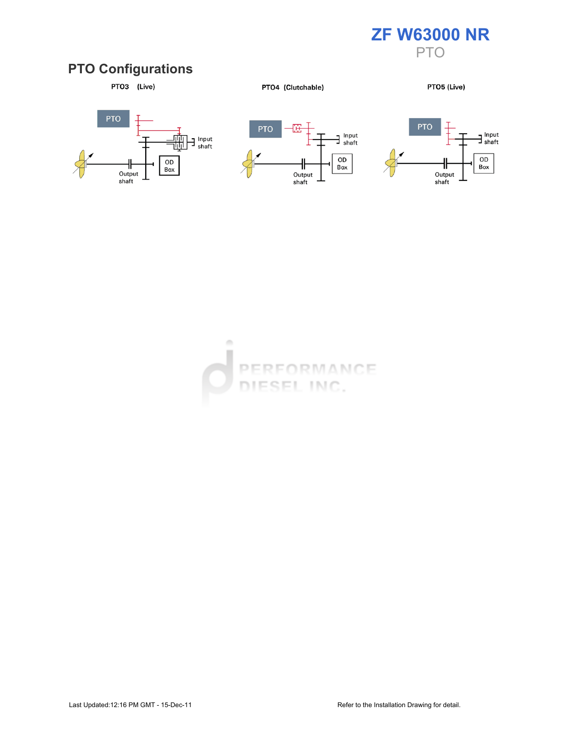

### PTO Configurations



PTO4 (Clutchable)

PTO5 (Live)